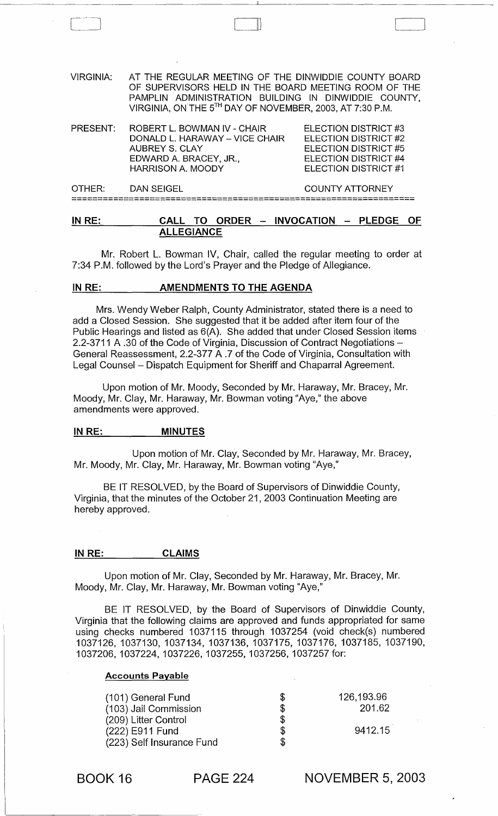| $P_{\rm{H}} P_{\rm{H}}$ | <b>AAII</b><br>TA ARRER                                                                                                                                                                                                          | $1$ $1$ $1$ $\wedge$ $\wedge$ $1$ $\wedge$ $\wedge$ $\wedge$ $\wedge$ $\wedge$ $\wedge$ $\wedge$ $\wedge$ $\wedge$ $\wedge$ $\wedge$ $\wedge$ $\wedge$ $\wedge$ $\wedge$ $\wedge$ $\wedge$ $\wedge$ $\wedge$ $\wedge$ $\wedge$ $\wedge$ $\wedge$ $\wedge$ $\wedge$ $\wedge$ $\wedge$ $\wedge$ $\wedge$ $\wedge$ $\wedge$ $\wedge$<br>DI FRAF |  |  |
|-------------------------|----------------------------------------------------------------------------------------------------------------------------------------------------------------------------------------------------------------------------------|----------------------------------------------------------------------------------------------------------------------------------------------------------------------------------------------------------------------------------------------------------------------------------------------------------------------------------------------|--|--|
| OTHER:                  | <b>DAN SEIGEL</b>                                                                                                                                                                                                                | <b>COUNTY ATTORNEY</b>                                                                                                                                                                                                                                                                                                                       |  |  |
| PRESENT:                | ROBERT L. BOWMAN IV - CHAIR<br>DONALD L. HARAWAY – VICE CHAIR<br><b>AUBREY S. CLAY</b><br>EDWARD A. BRACEY, JR.,<br><b>HARRISON A. MOODY</b>                                                                                     | ELECTION DISTRICT #3<br>ELECTION DISTRICT #2<br>ELECTION DISTRICT #5<br>ELECTION DISTRICT #4<br>ELECTION DISTRICT #1                                                                                                                                                                                                                         |  |  |
| <b>VIRGINIA:</b>        | AT THE REGULAR MEETING OF THE DINWIDDIE COUNTY BOARD<br>OF SUPERVISORS HELD IN THE BOARD MEETING ROOM OF THE<br>PAMPLIN ADMINISTRATION BUILDING IN DINWIDDIE COUNTY,<br>VIRGINIA, ON THE 5TH DAY OF NOVEMBER, 2003, AT 7:30 P.M. |                                                                                                                                                                                                                                                                                                                                              |  |  |
|                         |                                                                                                                                                                                                                                  |                                                                                                                                                                                                                                                                                                                                              |  |  |

## <u>IN RE: CALL TO ORDER – INVOCATION – PLEDGE OF</u> **ALLEGIANCE**

Mr. Robert L. Bowman IV, Chair, called the regular meeting to order at 7:34 P.M. followed by the Lord's Prayer and the Pledge of Allegiance.

#### IN RE: AMENDMENTS TO THE AGENDA

 $\begin{bmatrix} 1 & 1 \\ 1 & 1 \end{bmatrix}$ 

Mrs. Wendy Weber Ralph, County Administrator, stated there is a need to add a Closed Session. She suggested that it be added after item four of the Public Hearings and listed as 6(A). She added that under Closed Session items 2.2-3711 A .30 of the Code of Virginia, Discussion of Contract Negotiations -General Reassessment, 2.2-377 A .7 of the Code of Virginia, Consultation with Legal Counsel - Dispatch Equipment for Sheriff and Chaparral Agreement.

Upon motion of Mr. Moody, Seconded by Mr. Haraway, Mr. Bracey, Mr. Moody, Mr. Clay, Mr. Haraway, Mr. Bowman voting "Aye," the above amendments were approved.

#### IN RE: MINUTES

Upon motion of Mr. Clay, Seconded by Mr. Haraway, Mr. Bracey, Mr. Moody, Mr. Clay, Mr. Haraway, Mr. Bowman voting "Aye,"

BE IT RESOLVED, by the Board of Supervisors of Dinwiddie County, Virginia, that the minutes of the October 21,2003 Continuation Meeting are hereby approved.

#### IN RE: CLAIMS

Upon motion of Mr. Clay, Seconded by Mr. Haraway, Mr. Bracey, Mr. Moody, Mr. Clay, Mr. Haraway, Mr. Bowman voting "Aye,"

BE IT RESOLVED, by the Board of Supervisors of Dinwiddie County, Virginia that the following claims are approved and funds appropriated for same using checks numbered 1037115 through 1037254 (void check(s) numbered 1037126, 1037130, 1037134, 1037136, 1037175, 1037176, 1037185, 1037190, 1037206, 1037224, 1037226, 1037255, 1037256, 1037257 for:

#### Accounts Payable

| (101) General Fund        | S  | 126,193.96 |
|---------------------------|----|------------|
| (103) Jail Commission     | \$ | 201.62     |
| (209) Litter Control      | \$ |            |
| (222) E911 Fund           | \$ | 9412.15    |
| (223) Self Insurance Fund |    |            |

BOOK 16 PAGE 224

NOVEMBER 5, 2003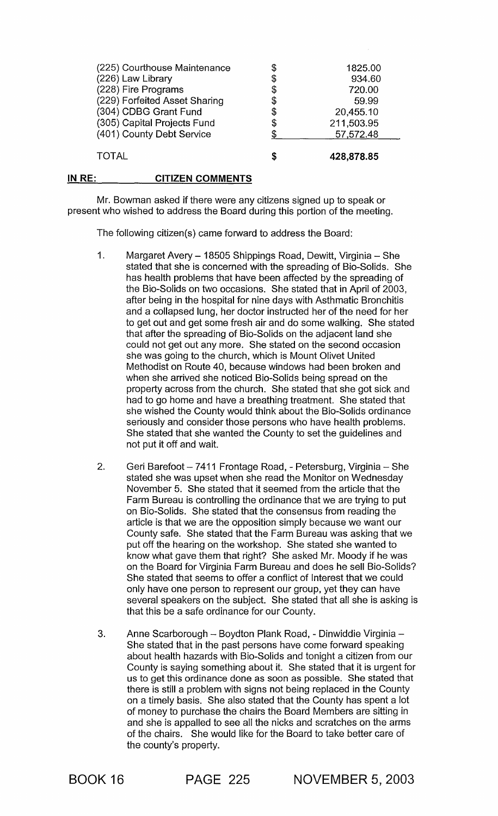| (225) Courthouse Maintenance  | \$ | 1825.00    |
|-------------------------------|----|------------|
| (226) Law Library             | \$ | 934.60     |
| (228) Fire Programs           | \$ | 720.00     |
| (229) Forfeited Asset Sharing | \$ | 59.99      |
| (304) CDBG Grant Fund         | \$ | 20,455.10  |
| (305) Capital Projects Fund   | \$ | 211,503.95 |
| (401) County Debt Service     |    | 57,572.48  |
|                               |    |            |
| <b>TOTAL</b>                  | S  | 428,878.85 |

#### IN RE: CITIZEN COMMENTS

Mr. Bowman asked if there were any citizens signed up to speak or present who wished to address the Board during this portion of the meeting.

The following citizen(s) came forward to address the Board:

- 1. Margaret Avery 18505 Shippings Road, Dewitt, Virginia She stated that she is concerned with the spreading of Bio-Solids. She has health problems that have been affected by the spreading of the Bio-Solids on two occasions. She stated that in April of 2003, after being in the hospital for nine days with Asthmatic Bronchitis and a collapsed lung, her doctor instructed her of the need for her to get out and get some fresh air and do some walking. She stated that after the spreading of Bio-Solids on the adjacent land she could not get out any more. She stated on the second occasion she was going to the church, which is Mount Olivet United Methodist on Route 40, because windows had been broken and when she arrived she noticed Bio-Solids being spread on the property across from the church. She stated that she got sick and had to go home and have a breathing treatment. She stated that she wished the County would think about the Bio-Solids ordinance seriously and consider those persons who have health problems. She stated that she wanted the County to set the guidelines and not put it off and wait.
- 2. Geri Barefoot 7411 Frontage Road, Petersburg, Virginia She stated she was upset when she read the Monitor on Wednesday November 5. She stated that it seemed from the article that the Farm Bureau is controlling the ordinance that we are trying to put on Bio-Solids. She stated that the consensus from reading the article is that we are the opposition simply because we want our County safe. She stated that the Farm Bureau was asking that we put off the hearing on the workshop. She stated she wanted to know what gave them that right? She asked Mr. Moody if he was on the Board for Virginia Farm Bureau and does he sell Bio-Solids? She stated that seems to offer a conflict of Interest that we could only have one person to represent our group, yet they can have several speakers on the subject. She stated that all she is asking is that this be a safe ordinance for our County.
- 3. Anne Scarborough Boydton Plank Road, Dinwiddie Virginia -She stated that in the past persons have come forward speaking about health hazards with Bio-Solids and tonight a citizen from our County is saying something about it. She stated that it is urgent for us to get this ordinance done as soon as possible. She stated that there is still a problem with signs not being replaced in the County on a timely basis. She also stated that the County has spent a lot of money to purchase the chairs the Board Members are sitting in and she is appalled to see all the nicks and scratches on the arms of the chairs. She would like for the Board to take better care of the county's property.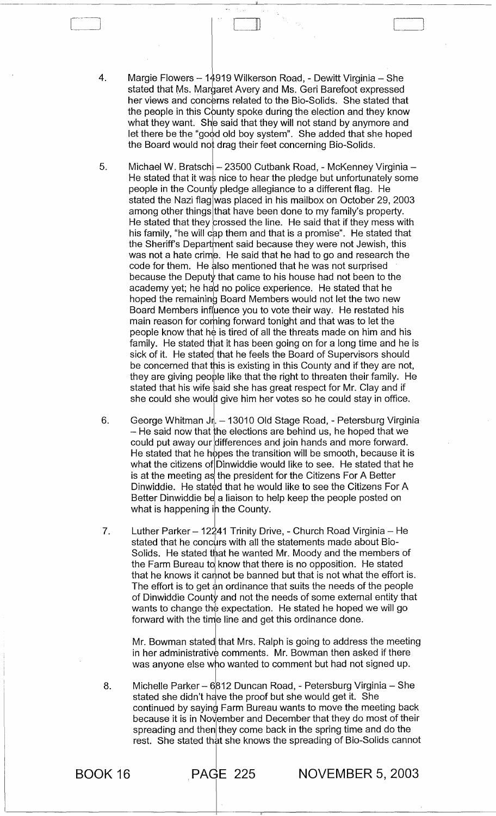4. Margie Flowers - 14919 Wilkerson Road, - Dewitt Virginia - She stated that Ms. Margaret Avery and Ms. Geri Barefoot expressed her views and concerns related to the Bio-Solids. She stated that the people in this County spoke during the election and they know what they want. She said that they will not stand by anymore and let there be the "good old boy system". She added that she hoped the Board would not drag their feet concerning Bio-Solids.

II)

- 5. Michael W. Bratschi - 23500 Cutbank Road, - McKenney Virginia -He stated that it was nice to hear the pledge but unfortunately some people in the County pledge allegiance to a different flag. He stated the Nazi flag was placed in his mailbox on October 29, 2003 among other things that have been done to my family's property. He stated that they crossed the line. He said that if they mess with his family, "he will cap them and that is a promise". He stated that the Sheriff's Department said because they were not Jewish, this was not a hate crime. He said that he had to go and research the code for them. He also mentioned that he was not surprised because the Deputy that came to his house had not been to the academy yet; he had no police experience. He stated that he hoped the remaining Board Members would not let the two new Board Members influence you to vote their way. He restated his main reason for coming forward tonight and that was to let the people know that he is tired of all the threats made on him and his family. He stated that it has been going on for a long time and he is sick of it. He stated that he feels the Board of Supervisors should be concerned that this is existing in this County and if they are not, they are giving people like that the right to threaten their family. He stated that his wife said she has great respect for Mr. Clay and if she could she would give him her votes so he could stay in office.
- 6. George Whitman Jr.  $-13010$  Old Stage Road, - Petersburg Virginia  $-$  He said now that the elections are behind us, he hoped that we could put away our differences and join hands and more forward. He stated that he hopes the transition will be smooth, because it is what the citizens of Dinwiddie would like to see. He stated that he is at the meeting as the president for the Citizens For A Better<br>Diputedie - He stated that he would like to see the Citizens For Dinwiddie. He stated that he would like to see the Citizens For A Better Dinwiddie be a liaison to help keep the people posted on what is happening in the County.
- 7. Luther Parker – 12241 Trinity Drive, - Church Road Virginia – He stated that he concurs with all the statements made about Bio-Solids. He stated that he wanted Mr. Moody and the members of the Farm Bureau to know that there is no opposition. He stated<br>that he known it counct be hanned by that is not what the effort that he knows it cannot be banned but that is not what the effort is. The effort is to get an ordinance that suits the needs of the people of Dinwiddie County and not the needs of some external entity that wants to change the expectation. He stated he hoped we will go forward with the time line and get this ordinance done.

Mr. Bowman stated that Mrs. Ralph is going to address the meeting in her administrative comments. Mr. Bowman then asked if there was anyone else who wanted to comment but had not signed up.

8. Michelle Parker - 6812 Duncan Road, - Petersburg Virginia - She stated she didn't have the proof but she would get it. She continued by saying Farm Bureau wants to move the meeting back because it is in November and December that they do most of their spreading and then they come back in the spring time and do the rest. She stated that she knows the spreading of Bio-Solids cannot

 $\overline{\phantom{a}}$ 

BOOK 16 PAdE 225 NOVEMBER 5, 2003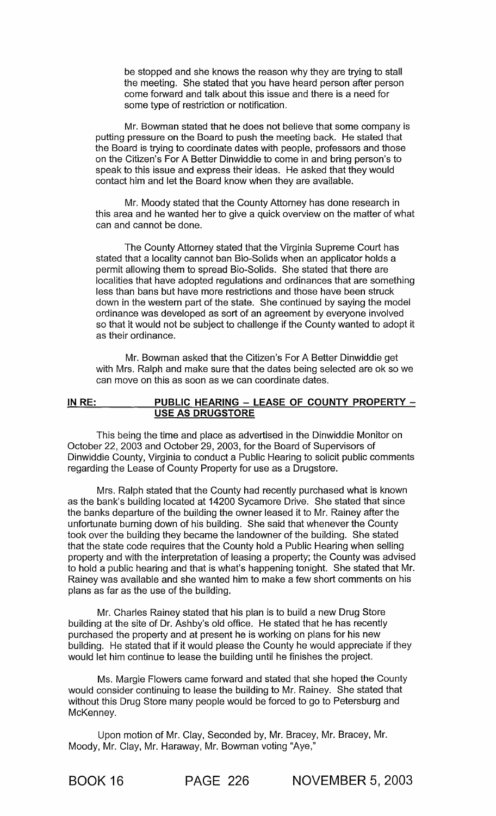be stopped and she knows the reason why they are trying to stall the meeting. She stated that you have heard person after person come forward and talk about this issue and there is a need for some type of restriction or notification.

Mr. Bowman stated that he does not believe that some company is putting pressure on the Board to push the meeting back. He stated that the Board is trying to coordinate dates with people, professors and those on the Citizen's For A Better Dinwiddie to come in and bring person's to speak to this issue and express their ideas. He asked that they would contact him and let the Board know when they are available.

Mr. Moody stated that the County Attorney has done research in this area and he wanted her to give a quick overview on the matter of what can and cannot be done.

The County Attorney stated that the Virginia Supreme Court has stated that a locality cannot ban Bio-Solids when an applicator holds a permit allowing them to spread Bio-Solids. She stated that there are localities that have adopted regulations and ordinances that are something less than bans but have more restrictions and those have been struck down in the western part of the state. She continued by saying the model ordinance was developed as sort of an agreement by everyone involved so that it would not be subject to challenge if the County wanted to adopt it as their ordinance.

Mr. Bowman asked that the Citizen's For A Better Dinwiddie get with Mrs. Ralph and make sure that the dates being selected are ok so we can move on this as soon as we can coordinate dates.

#### **IN** RE: **PUBLIC HEARING - LEASE OF COUNTY PROPERTY - USE AS DRUGSTORE**

This being the time and place as advertised in the Dinwiddie Monitor on October 22, 2003 and October 29, 2003, for the Board of Supervisors of Dinwiddie County, Virginia to conduct a Public Hearing to solicit public comments regarding the Lease of County Property for use as a Drugstore.

Mrs. Ralph stated that the County had recently purchased what is known as the bank's building located at 14200 Sycamore Drive. She stated that since the banks departure of the building the owner leased it to Mr. Rainey after the unfortunate burning down of his building. She said that whenever the County took over the building they became the landowner of the building. She stated that the state code requires that the County hold a Public Hearing when selling property and with the interpretation of leasing a property; the County was advised to hold a public hearing and that is what's happening tonight. She stated that Mr. Rainey was available and she wanted him to make a few short comments on his plans as far as the use of the building.

Mr. Charles Rainey stated that his plan is to build a new Drug Store building at the site of Dr. Ashby's old office. He stated that he has recently purchased the property and at present he is working on plans for his new building. He stated that if it would please the County he would appreciate if they would let him continue to lease the building until he finishes the project.

Ms. Margie Flowers came forward and stated that she hoped the County would consider continuing to lease the building to Mr. Rainey. She stated that without this Drug Store many people would be forced to go to Petersburg and McKenney.

Upon motion of Mr. Clay, Seconded by, Mr. Bracey, Mr. Bracey, Mr. Moody, Mr. Clay, Mr. Haraway, Mr. Bowman voting "Aye,"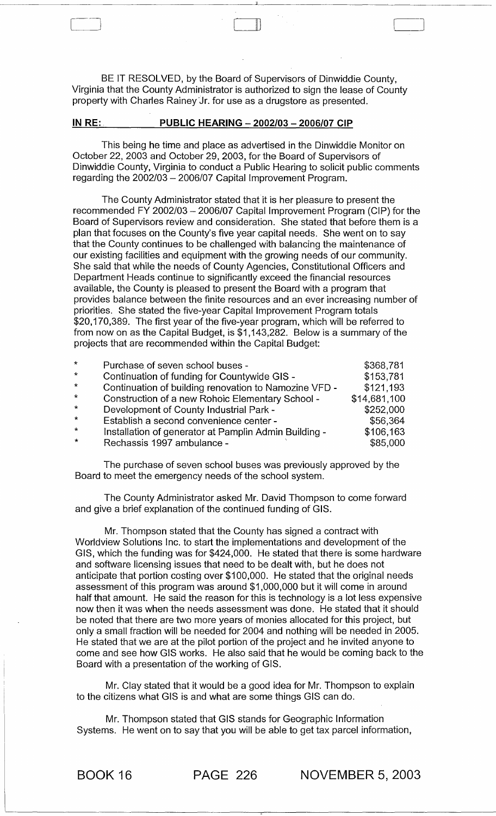BE IT RESOLVED, by the Board of Supervisors of Dinwiddie County, Virginia that the County Administrator is authorized to sign the lease of County property with Charles Rainey 'Jr. for use as a drugstore as presented.

 $\mathbb U$ 

#### **IN RE: PUBLIC HEARING - 2002/03 - 2006/07 CIP**

This being he time and place as advertised in the Dinwiddie Monitor on October 22, 2003 and October 29, 2003, for the Board of Supervisors of Dinwiddie County, Virginia to conduct a Public Hearing to solicit public comments regarding the 2002/03 - 2006/07 Capital Improvement Program.

The County Administrator stated that it is her pleasure to present the recommended FY 2002/03 - 2006/07 Capital Improvement Program (CIP) for the Board of Supervisors review and consideration. She stated that before them is a plan that focuses on the County's five year capital needs. She went on to say that the County continues to be challenged with balancing the maintenance of our existing facilities and equipment with the growing needs of our community. She said that while the needs of County Agencies, Constitutional Officers and Department Heads continue to significantly exceed the financial resources available, the County is pleased to present the Board with a program that provides balance between the finite resources and an ever increasing number of priorities. She stated the five-year Capital Improvement Program totals \$20,170,389. The first year of the five-year program, which will be referred to from now on as the Capital Budget, is \$1 ,143,282. Below is a summary of the projects that are recommended within the Capital Budget:

| $\star$      | Purchase of seven school buses -                      | \$368,781    |
|--------------|-------------------------------------------------------|--------------|
| $\star$      | Continuation of funding for Countywide GIS -          | \$153,781    |
| $\star$      | Continuation of building renovation to Namozine VFD - | \$121,193    |
| $\star$      | Construction of a new Rohoic Elementary School -      | \$14,681,100 |
| $\star$      | Development of County Industrial Park -               | \$252,000    |
| $\star$      | Establish a second convenience center -               | \$56,364     |
| $\mathbf{k}$ | Installation of generator at Pamplin Admin Building - | \$106,163    |
| $\star$      | Rechassis 1997 ambulance -                            | \$85,000     |

The purchase of seven school buses was previously approved by the Board to meet the emergency needs of the school system.

The County Administrator asked Mr. David Thompson to come forward and give a brief explanation of the continued funding of GIS.

Mr. Thompson stated that the County has signed a contract with Worldview Solutions Inc. to start the implementations and development of the GIS, which the funding was for \$424,000. He stated that there is some hardware and software licensing issues that need to be dealt with, but he does not anticipate that portion costing over \$100,000. He stated that the original needs assessment of this program was around \$1,000,000 but it will come in around half that amount. He said the reason for this is technology is a lot less expensive now then it was when the needs assessment was done. He stated that it should be noted that there are two more years of monies allocated for this project, but only a small fraction will be needed for 2004 and nothing will be needed in 2005. He stated that we are at the pilot portion of the project and he invited anyone to come and see how GIS works. He also said that he would be coming back to the Board with a presentation of the working of GIS.

Mr. Clay stated that it would be a good idea for Mr. Thompson to explain to the citizens what GIS is and what are some things GIS can do.

Mr. Thompson stated that GIS stands for Geographic Information Systems. He went on to say that you will be able to get tax parcel information,

BOOK 16 **PAGE** 226 **NOVEMBI::.R** 5, 2003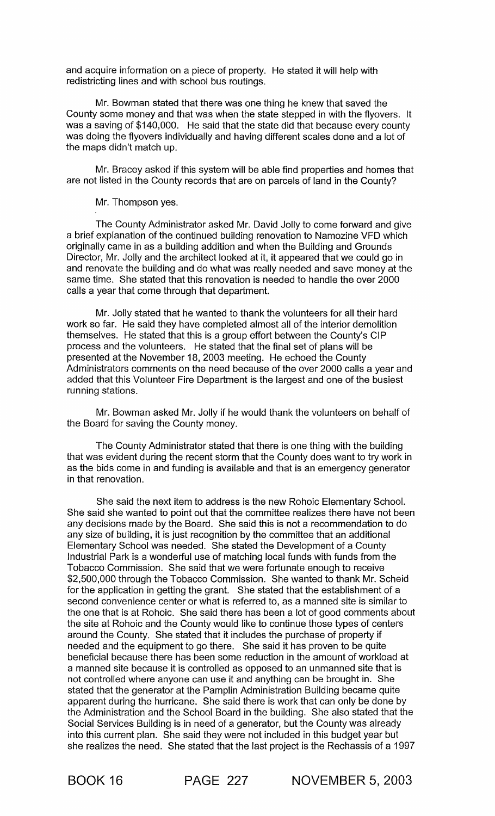and acquire information on a piece of property. He stated it will help with redistricting lines and with school bus routings.

Mr. Bowman stated that there was one thing he knew that saved the County some money and that was when the state stepped in with the flyovers. It was a saving of \$140,000. He said that the state did that because every county was doing the flyovers individually and having different scales done and a lot of the maps didn't match up.

Mr. Bracey asked if this system will be able find properties and homes that are not listed in the County records that are on parcels of land in the County?

Mr. Thompson yes.

The County Administrator asked Mr. David Jolly to come forward and give a brief explanation of the continued building renovation to Namozine VFD which originally came in as a building addition and when the Building and Grounds Director, Mr. Jolly and the architect looked at it, it appeared that we could go in and renovate the building and do what was really needed and save money at the same time. She stated that this renovation is needed to handle the over 2000 calls a year that come through that department.

Mr. Jolly stated that he wanted to thank the volunteers for all their hard work so far. He said they have completed almost all of the interior demolition themselves. He stated that this is a group effort between the County's CIP process and the volunteers. He stated that the final set of plans will be presented at the November 18, 2003 meeting. He echoed the County Administrators comments on the need because of the over 2000 calls a year and added that this Volunteer Fire Department is the largest and one of the busiest running stations.

Mr. Bowman asked Mr. Jolly if he would thank the volunteers on behalf of the Board for saving the County money.

The County Administrator stated that there is one thing with the building that was evident during the recent storm that the County does want to try work in as the bids come in and funding is available and that is an emergency generator in that renovation.

She said the next item to address is the new Rohoic Elementary School. She said she wanted to point out that the committee realizes there have not been any decisions made by the Board. She said this is not a recommendation to do any size of building, it is just recognition by the committee that an additional Elementary School was needed. She stated the Development of a County Industrial Park is a wonderful use of matching local funds with funds from the Tobacco Commission. She said that we were fortunate enough to receive \$2,500,000 through the Tobacco Commission. She wanted to thank Mr. Scheid for the application in getting the grant. She stated that the establishment of a second convenience center or what is referred to, as a manned site is similar to the one that is at Rohoic. She said there has been a lot of good comments about the site at Rohoic and the County would like to continue those types of centers around the County. She stated that it includes the purchase of property if needed and the equipment to go there. She said it has proven to be quite beneficial because there has been some reduction in the amount of workload at a manned site because it is controlled as opposed to an unmanned site that is not controlled where anyone can use it and anything can be brought in. She stated that the generator at the Pamplin Administration Building became quite apparent during the hurricane. She said there is work that can only be done by the Administration and the School Board in the building. She also stated that the Social Services Building is in need of a generator, but the County was already into this current plan. She said they were not included in this budget year but she realizes the need. She stated that the last project is the Rechassis of a 1997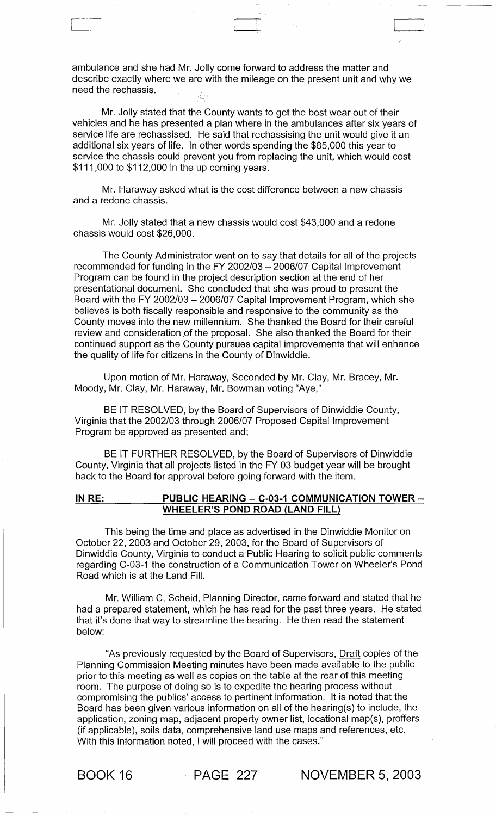ambulance and she had Mr. Jolly come forward to address the matter and describe exactly where we are with the mileage on the present unit and why we need the rechassis.

ill

Mr. Jolly stated that the County wants to get the best wear out of their vehicles and he has presented a plan where in the ambulances after six years of service life are rechassised. He said that rechassising the unit would give it an additional six years of life. In other words spending the \$85,000 this year to service the chassis could prevent you from replacing the unit, which would cost \$111,000 to \$112,000 in the up coming years.

Mr. Haraway asked what is the cost difference between a new chassis and a redone chassis.

Mr. Jolly stated that a new chassis would cost \$43,000 and a redone chassis would cost \$26,000.

The County Administrator went on to say that details for all of the projects recommended for funding in the FY *2002/03* - *2006/07* Capital Improvement Program can be found in the project description section at the end of her presentational document. She concluded that she was proud to present the Board with the FY *2002/03* - *2006107* Capital Improvement Program, which she believes is both fiscally responsible and responsive to the community as the County moves into the new millennium. She thanked the Board for their careful review and consideration of the proposal. She also thanked the Board for their continued support as the County pursues capital improvements that will enhance the quality of life for citizens in the County of Dinwiddie.

Upon motion of Mr. Haraway, Seconded by Mr. Clay, Mr. Bracey, Mr. Moody, Mr. Clay, Mr. Haraway, Mr. Bowman voting "Aye,"

BE IT RESOLVED, by the Board of Supervisors of Dinwiddie County, Virginia that the *2002/03* through *2006/07* Proposed Capital Improvement Program be approved as presented and;

BE IT FURTHER RESOLVED, by the Board of Supervisors of Dinwiddie County, Virginia that all projects listed in the FY 03 budget year will be brought back to the Board for approval before going forward with the item.

#### IN RE: PUBLIC HEARING - C-03-1 COMMUNICATION TOWER  $-$ WHEELER'S POND ROAD (LAND FILL)

This being the time and place as advertised in the Dinwiddie Monitor on October 22, 2003 and October 29, 2003, for the Board of Supervisors of Dinwiddie County, Virginia to conduct a Public Hearing to solicit public comments regarding C-03-1 the construction of a Communication Tower on Wheeler'S Pond Road which is at the Land Fill.

Mr. William C. Scheid, Planning Director, came forward and stated that he had a prepared statement, which he has read for the past three years. He stated that it's done that way to streamline the hearing. He then read the statement below:

"As previously requested by the Board of Supervisors, Draft copies of the Planning Commission Meeting minutes have been made available to the public prior to this meeting as well as copies on the table at the rear of this meeting room. The purpose of doing so is to expedite the hearing process without compromising the publics' access to pertinent information. It is noted that the Board has been given various information on all of the hearing(s) to include, the application, zoning map, adjacent property owner list, locational map(s), proffers (if applicable), soils data, comprehensive land use maps and references, etc. With this information noted, I will proceed with the cases."

BOOK 16 PAGE 227 NOVEMBER 5, 2003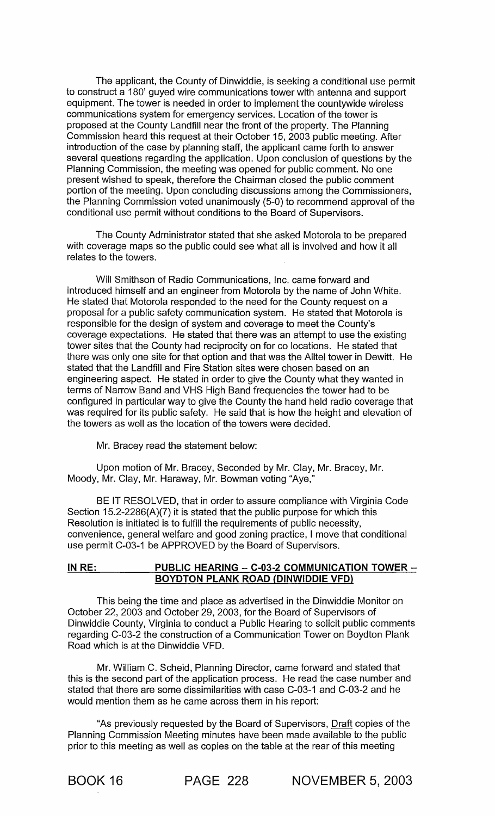The applicant, the County of Dinwiddie, is seeking a conditional use permit to construct a 180' guyed wire communications tower with antenna and support equipment. The tower is needed in order to implement the countywide wireless communications system for emergency services. Location of the tower is proposed at the County Landfill near the front of the property. The Planning Commission heard this request at their October 15, 2003 public meeting. After introduction of the case by planning staff, the applicant came forth to answer several questions regarding the application. Upon conclusion of questions by the Planning Commission, the meeting was opened for public comment. No one present wished to speak, therefore the Chairman closed the public comment portion of the meeting. Upon concluding discussions among the Commissioners, the Planning Commission voted unanimously (5-0) to recommend approval of the conditional use permit without conditions to the Board of Supervisors.

The County Administrator stated that she asked Motorola to be prepared with coverage maps so the public could see what all is involved and how it all relates to the towers.

Will Smithson of Radio Communications, Inc. came forward and introduced himself and an engineer from Motorola by the name of John White. He stated that Motorola responded to the need for the County request on a proposal for a public safety communication system. He stated that Motorola is responsible for the design of system and coverage to meet the County's coverage expectations. He stated that there was an attempt to use the existing tower sites that the County had reciprocity on for co locations. He stated that there was only one site for that option and that was the Alltel tower in Dewitt. He stated that the Landfill and Fire Station sites were chosen based on an engineering aspect. He stated in order to give the County what they wanted in terms of Narrow Band and VHS High Band frequencies the tower had to be configured in particular way to give the County the hand held radio coverage that was required for its public safety. He said that is how the height and elevation of the towers as well as the location of the towers were decided.

Mr. Bracey read the statement below:

Upon motion of Mr. Bracey, Seconded by Mr. Clay, Mr. Bracey, Mr. Moody, Mr. Clay, Mr. Haraway, Mr. Bowman voting "Aye,"

BE IT RESOLVED, that in order to assure compliance with Virginia Code Section 15.2-2286(A)(7) it is stated that the public purpose for which this Resolution is initiated is to fulfill the requirements of public necessity, convenience, general welfare and good zoning practice, I move that conditional use permit C-03-1 be APPROVED by the Board of Supervisors.

### **IN** RE: **PUBLIC HEARING** - C-03-2 **COMMUNICATION TOWER - BOYDTON PLANK ROAD (DINWIDDIE VFD)**

This being the time and place as advertised in the Dinwiddie Monitor on October 22, 2003 and October 29, 2003, for the Board of Supervisors of Dinwiddie County, Virginia to conduct a Public Hearing to solicit public comments regarding C-03-2 the construction of a Communication Tower on Boydton Plank Road which is at the Dinwiddie VFD.

Mr. William C. Scheid, Planning Director, came forward and stated that this is the second part of the application process. He read the case number and stated that there are some dissimilarities with case C-03-1 and C-03-2 and he would mention them as he came across them in his report:

"As previously requested by the Board of Supervisors, Draft copies of the Planning Commission Meeting minutes have been made available to the public prior to this meeting as well as copies on the table at the rear of this meeting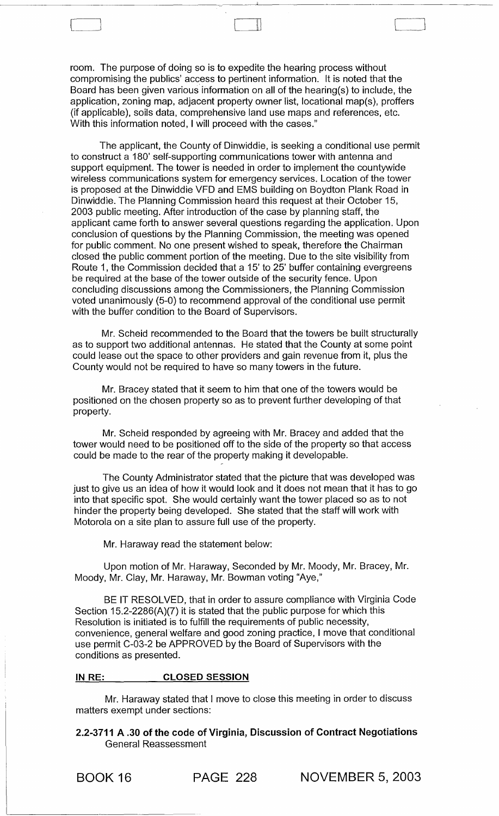room. The purpose of doing so is to expedite the hearing process without compromising the publics' access to pertinent information. It is noted that the Board has been given various information on all of the hearing(s) to include, the application, zoning map, adjacent property owner list, locational map(s), proffers (if applicable), soils data, comprehensive land use maps and references, etc. With this information noted, I will proceed with the cases."

The applicant, the County of Dinwiddie, is seeking a conditional use permit to construct a 180' self-supporting communications tower with antenna and support equipment. The tower is needed in order to implement the countywide wireless communications system for emergency services. Location of the tower is proposed at the Dinwiddie VFD and EMS building on Boydton Plank Road in Dinwiddie. The Planning Commission heard this request at their October 15, 2003 public meeting. After introduction of the case by planning staff, the applicant came forth to answer several questions regarding the application. Upon conclusion of questions by the Planning Commission, the meeting was opened for public comment. No one present wished to speak, therefore the Chairman closed the public comment portion of the meeting. Due to the site visibility from Route 1, the Commission decided that a 15' to 25' buffer containing evergreens be required at the base of the tower outside of the security fence. Upon concluding discussions among the Commissioners, the Planning Commission voted unanimously (5-0) to recommend approval of the conditional use permit with the buffer condition to the Board of Supervisors.

Mr. Scheid recommended to the Board that the towers be built structurally as to support two additional antennas. He stated that the County at some point could lease out the space to other providers and gain revenue from it, plus the County would not be required to have so many towers in the future.

Mr. Bracey stated that it seem to him that one of the towers would be positioned on the chosen property so as to prevent further developing of that property.

Mr. Scheid responded by agreeing with Mr. Bracey and added that the tower would need to be positioned off to the side of the property so that access could be made to the rear of the property making it developable.

The County Administrator stated that the picture that was developed was just to give us an idea of how it would look and it does not mean that it has to go into that specific spot. She would certainly want the tower placed so as to not hinder the property being developed. She stated that the staff will work with Motorola on a site plan to assure full use of the property.

Mr. Haraway read the statement below:

Upon motion of Mr. Haraway, Seconded by Mr. Moody, Mr. Bracey, Mr. Moody, Mr. Clay, Mr. Haraway, Mr. Bowman voting "Aye,"

BE IT RESOLVED, that in order to assure compliance with Virginia Code Section 15.2-2286(A)(7) it is stated that the public purpose for which this Resolution is initiated is to fulfill the requirements of public necessity, convenience, general welfare and good zoning practice, I move that conditional use permit C-03-2 be APPROVED by the Board of Supervisors with the conditions as presented.

#### IN RE: CLOSED SESSION

Mr. Haraway stated that I move to close this meeting in order to discuss matters exempt under sections:

2.2-3711 A .30 of the code of Virginia, Discussion of Contract Negotiations General Reassessment

[~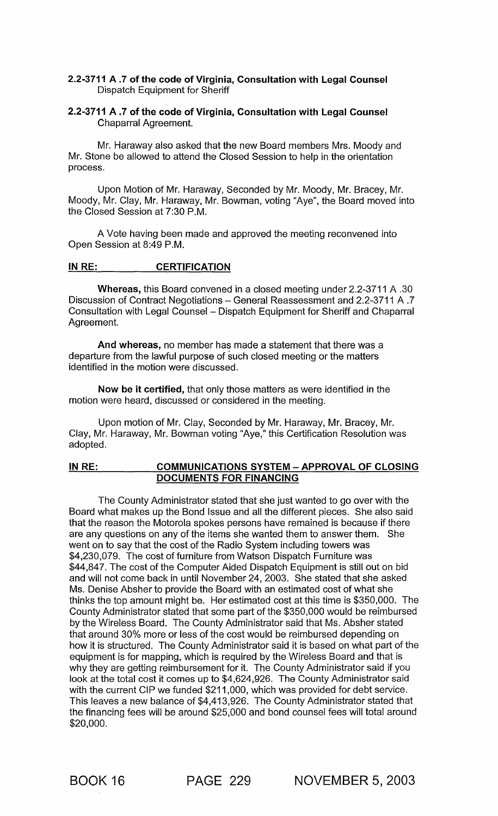## 2.2-3711 A.7 of the code of Virginia, Consultation with Legal Counsel Dispatch Equipment for Sheriff

## 2.2-3711 A.7 of the code of Virginia, Consultation with Legal Counsel Chaparral Agreement.

Mr. Haraway also asked that the new Board members Mrs. Moody and Mr. Stone be allowed to attend the Closed Session to help in the orientation process.

Upon Motion of Mr. Haraway, Seconded by Mr. Moody, Mr. Bracey, Mr. Moody, Mr. Clay, Mr. Haraway, Mr. Bowman, voting "Aye", the Board moved into the Closed Session at 7:30 P.M.

A Vote having been made and approved the meeting reconvened into Open Session at 8:49 P.M.

#### INRE: CERTIFICATION

Whereas, this Board convened in a closed meeting under 2.2-3711 A .30 Discussion of Contract Negotiations - General Reassessment and 2.2-3711 A .7 Consultation with Legal Counsel - Dispatch Equipment for Sheriff and Chaparral Agreement.

And whereas, no member has made a statement that there was a departure from the lawful purpose of such closed meeting or the matters identified in the motion were discussed.

Now be it certified, that only those matters as were identified in the motion were heard, discussed or considered in the meeting.

Upon motion of Mr. Clay, Seconded by Mr. Haraway, Mr. Bracey, Mr. Clay, Mr. Haraway, Mr. Bowman voting "Aye," this Certification Resolution was adopted.

#### IN RE: COMMUNICATIONS SYSTEM - APPROVAL OF CLOSING DOCUMENTS FOR FINANCING

The County Administrator stated that she just wanted to go over with the Board what makes up the Bond Issue and all the different pieces. She also said that the reason the Motorola spokes persons have remained is because if there are any questions on any of the items she wanted them to answer them. She went on to say that the cost of the Radio System including towers was \$4,230,079. The cost of furniture from Watson Dispatch Furniture was \$44,847. The cost of the Computer Aided Dispatch Equipment is still out on bid and will not come back in until November 24, 2003. She stated that she asked Ms. Denise Absher to provide the Board with an estimated cost of what she thinks the top amount might be. Her estimated cost at this time is \$350,000. The County Administrator stated that some part of the \$350,000 would be reimbursed by the Wireless Board. The County Administrator said that Ms. Absher stated that around 30% more or less of the cost would be reimbursed depending on how it is structured. The County Administrator said it is based on what part of the equipment is for mapping, which is required by the Wireless Board and that is why they are getting reimbursement for it. The County Administrator said if you look at the total cost it comes up to \$4,624,926. The County Administrator said with the current CIP we funded \$211,000, which was provided for debt service. This leaves a new balance of \$4,413,926. The County Administrator stated that the financing fees will be around \$25,000 and bond counsel fees will total around \$20,000.

BOOK 16 PAGE 229 NOVEMBER 5, 2003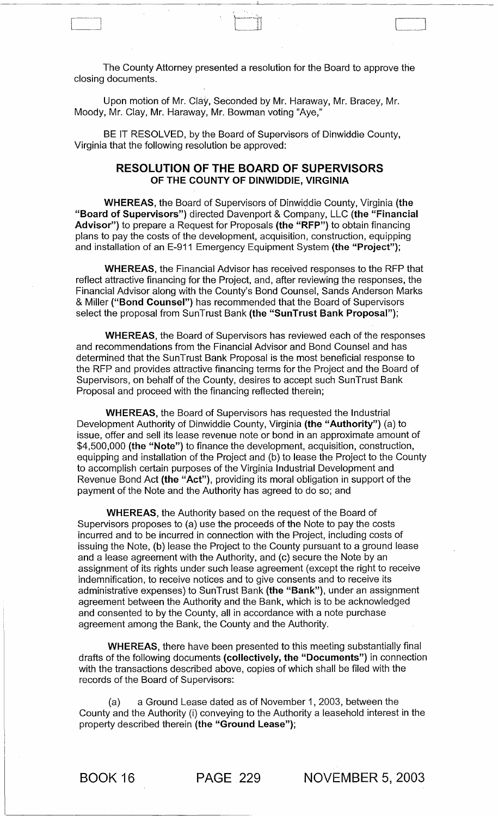The County Attorney presented a resolution for the Board to approve the closing documents.

Upon motion of Mr. Clay, Seconded by Mr. Haraway, Mr. Bracey, Mr. Moody, Mr. Clay, Mr. Haraway, Mr. Bowman voting "Aye,"

[~--J

BE IT RESOLVED, by the Board of Supervisors of Dinwiddie County, Virginia that the following resolution be approved:

## RESOLUTION OF THE BOARD OF SUPERVISORS OF THE COUNTY OF DINWIDDIE, VIRGINIA

WHEREAS, the Board of Supervisors of Dinwiddie County, Virginia (the "Board of Supervisors") directed Davenport & Company, LLC (the "Financial Advisor") to prepare a Request for Proposals (the "RFP") to obtain financing plans to pay the costs of the development, acquisition, construction, equipping and installation of an E-911 Emergency Equipment System (the "Project");

WHEREAS, the Financial Advisor has received responses to the RFP that reflect attractive financing for the Project, and, after reviewing the responses, the Financial Advisor along with the County's Bond Counsel, Sands Anderson Marks & Miller ("Bond Counsel") has recommended that the Board of Supervisors select the proposal from SunTrust Bank (the "SunTrust Bank Proposal");

WHEREAS, the Board of Supervisors has reviewed each of the responses and recommendations from the Financial Advisor and Bond Counsel and has determined that the SunTrust Bank Proposal is the most beneficial response to the RFP and provides attractive financing terms for the Project and the Board of Supervisors, on behalf of the County, desires to accept such SunTrust Bank Proposal and proceed with the financing reflected therein;

WHEREAS, the Board of Supervisors has requested the Industrial Development Authority of Dinwiddie County, Virginia (the "Authority") (a) to issue, offer and sell its lease revenue note or bond in an approximate amount of \$4,500,000 (the "Note") to finance the development, acquisition, construction, equipping and installation of the Project and (b) to lease the Project to the County to accomplish certain purposes of the Virginia Industrial Development and Revenue Bond Act (the "Act"), providing its moral obligation in support of the payment of the Note and the Authority has agreed to do so; and

WHEREAS, the Authority based on the request of the Board of Supervisors proposes to (a) use the proceeds of the Note to pay the costs incurred and to be incurred in connection with the Project, including costs of issuing the Note, (b) lease the Project to the County pursuant to a ground lease and a lease agreement with the Authority, and (c) secure the Note by an assignment of its rights under such lease agreement (except the right to receive indemnification, to receive notices and to give consents and to receive its administrative expenses) to SunTrust Bank (the "Bank"), under an assignment agreement between the Authority and the Bank, which is to be acknowledged and consented to by the County, all in accordance with a note purchase agreement among the Bank, the County and the Authority.

WHEREAS, there have been presented to this meeting substantially final drafts of the following documents (collectively, the "Documents") in connection with the transactions described above, copies of which shall be filed with the records of the Board of Supervisors:

(a) a Ground Lease dated as of November 1,2003, between the County and the Authority (i) conveying to the Authority a leasehold interest in the property described therein (the "Ground Lease");

BOOK 16 PAGE 229 NOVEMBER 5, 2003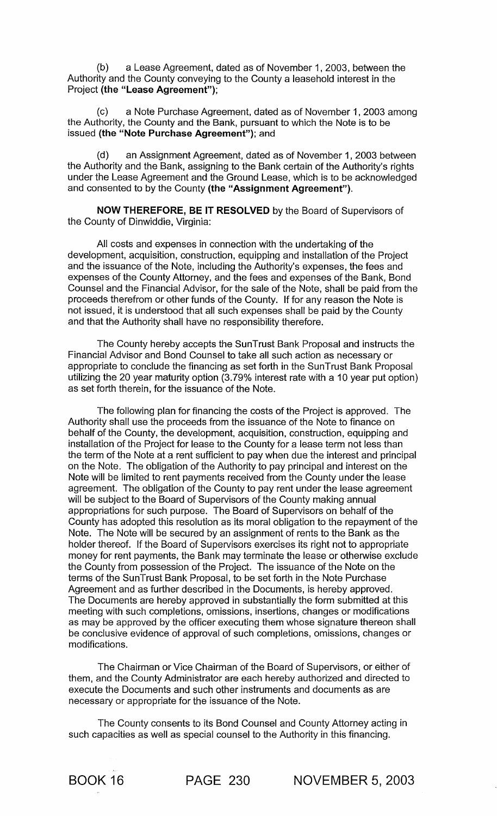(b) a Lease Agreement, dated as of November 1,2003, between the Authority and the County conveying to the County a leasehold interest in the Project (the "Lease Agreement");

(c) a Note Purchase Agreement, dated as of November 1,2003 among the Authority, the County and the Bank, pursuant to which the Note is to be issued (the "Note Purchase Agreement"); and

(d) an Assignment Agreement, dated as of November 1,2003 between the Authority and the Bank, assigning to the Bank certain of the Authority's rights under the Lease Agreement and the Ground Lease, which is to be acknowledged and consented to by the County (the "Assignment Agreement").

NOW THEREFORE, BE IT RESOLVED by the Board of Supervisors of the County of Dinwiddie, Virginia:

All costs and expenses in connection with the undertaking of the development, acquisition, construction, equipping and installation of the Project and the issuance of the Note, including the Authority's expenses, the fees and expenses of the County Attorney, and the fees and expenses of the Bank, Bond Counsel and the Financial Advisor, for the sale of the Note, shall be paid from the proceeds therefrom or other funds of the County. If for any reason the Note is not issued, it is understood that all such expenses shall be paid by the County and that the Authority shall have no responsibility therefore.

The County hereby accepts the SunTrust Bank Proposal and instructs the Financial Advisor and Bond Counsel to take all such action as necessary or appropriate to conclude the financing as set forth in the SunTrust Bank Proposal utilizing the 20 year maturity option (3.79% interest rate with a 10 year put option) as set forth therein, for the issuance of the Note.

The following plan for financing the costs of the Project is approved. The Authority shall use the proceeds from the issuance of the Note to finance on behalf of the County, the development, acquisition, construction, equipping and installation of the Project for lease to the County for a lease term not less than the term of the Note at a rent sufficient to pay when due the interest and principal on the Note. The obligation of the Authority to pay principal and interest on the Note will be limited to rent payments received from the County under the lease agreement. The obligation of the County to pay rent under the lease agreement will be subject to the Board of Supervisors of the County making annual appropriations for such purpose. The Board of Supervisors on behalf of the County has adopted this resolution as its moral obligation to the repayment of the Note. The Note will be secured by an assignment of rents to the Bank as the holder thereof. If the Board of Supervisors exercises its right not to appropriate money for rent payments, the Bank may terminate the lease or otherwise exclude the County from possession of the Project. The issuance of the Note on the terms of the SunTrust Bank Proposal, to be set forth in the Note Purchase Agreement and as further described in the Documents, is hereby approved. The Documents are hereby approved in substantially the form submitted at this meeting with such completions, omissions, insertions, changes or modifications as may be approved by the officer executing them whose signature thereon shall be conclusive evidence of approval of such completions, omissions, changes or modifications.

The Chairman or Vice Chairman of the Board of Supervisors, or either of them, and the County Administrator are each hereby authorized and directed to execute the Documents and such other instruments and documents as are necessary or appropriate for the issuance of the Note.

The County consents to its Bond Counsel and County Attorney acting in such capacities as well as special counsel to the Authority in this financing.

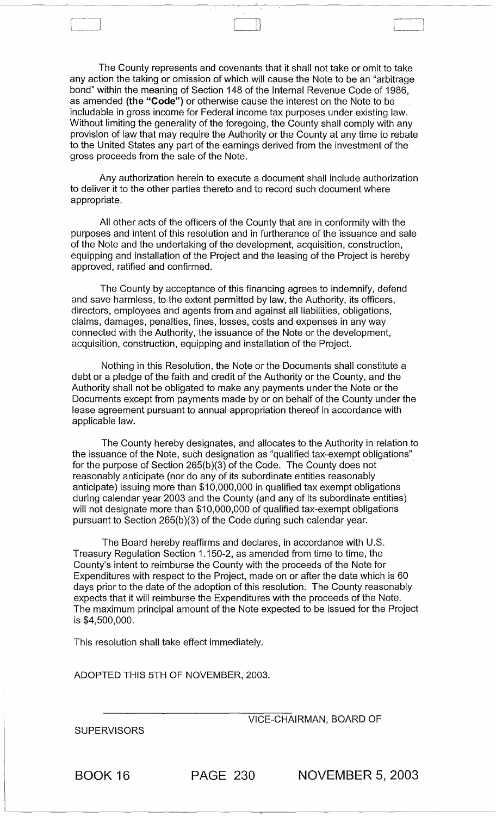The County represents and covenants that it shall not take or omit to take any action the taking or omission of which will cause the Note to be an "arbitrage bond" within the meaning of Section 148 of the Internal Revenue Code of 1986, as amended (the "Code") or otherwise cause the interest on the Note to be includable in gross income for Federal income tax purposes under existing law. Without limiting the generality of the foregoing, the County shall comply with any provision of law that may require the Authority or the County at any time to rebate to the United States any part of the earnings derived from the investment of the gross proceeds from the sale of the Note.

:11

 $\Box$ 

Any authorization herein to execute a document shall include authorization to deliver it to the other parties thereto and to record such document where appropriate.

All other acts of the officers of the County that are in conformity with the purposes and intent of this resolution and in furtherance of the issuance and sale of the Note and the undertaking of the development, acquisition, construction, equipping and installation of the Project and the leasing of the Project is hereby approved, ratified and confirmed.

The County by acceptance of this financing agrees to indemnify, defend and save harmless, to the extent permitted by law, the Authority, its officers, directors, employees and agents from and against all liabilities, obligations, claims, damages, penalties, fines, losses, costs and expenses in any way connected with the Authority, the issuance of the Note or the development, acquisition, construction, equipping and installation of the Project.

Nothing in this Resolution, the Note or the Documents shall constitute a debt or a pledge of the faith and credit of the Authority or the County, and the Authority shall not be obligated to make any payments under the Note or the Documents except from payments made by or on behalf of the County under the lease agreement pursuant to annual appropriation thereof in accordance with applicable law.

The County hereby designates, and allocates to the Authority in relation to the issuance of the Note, such designation as "qualified tax-exempt obligations" for the purpose of Section 265(b )(3) of the Code. The County does not reasonably anticipate (nor do any of its subordinate entities reasonably anticipate) issuing more than \$10,000,000 in qualified tax exempt obligations during calendar year 2003 and the County (and any of its subordinate entities) will not designate more than \$10,000,000 of qualified tax-exempt obligations pursuant to Section 265(b)(3) of the Code during such calendar year.

The Board hereby reaffirms and declares, in accordance with U.S. Treasury Regulation Section 1.150-2, as amended from time to time, the County's intent to reimburse the County with the proceeds of the Note for Expenditures with respect to the Project, made on or after the date which is 60 days prior to the date of the adoption of this resolution. The County reasonably expects that it will reimburse the Expenditures with the proceeds of the Note. The maximum principal amount of the Note expected to be issued for the Project is \$4,500,000.

This resolution shall take effect immediately.

ADOPTED THIS 5TH OF NOVEMBER, 2003.

VICE-CHAIRMAN, BOARD OF

**SUPERVISORS** 

BOOK 16 PAGE 230 NOVEMBER 5, 2003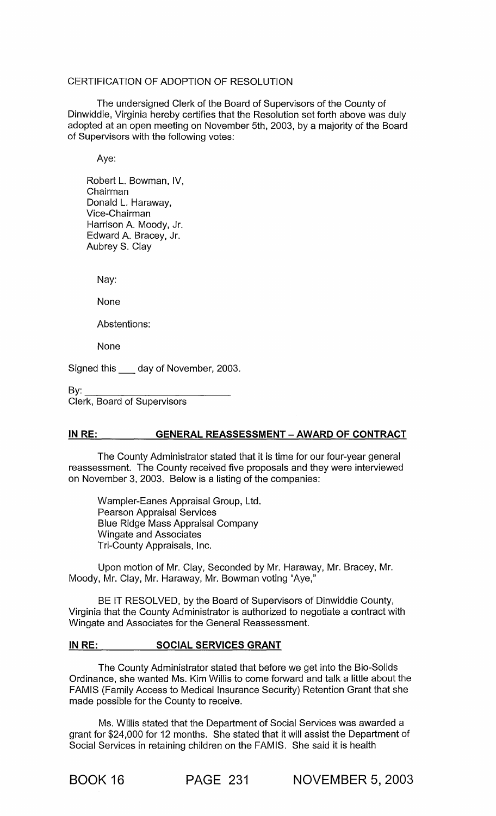## CERTIFICATION OF ADOPTION OF RESOLUTION

The undersigned Clerk of the Board of Supervisors of the County of Dinwiddie, Virginia hereby certifies that the Resolution set forth above was duly adopted at an open meeting on November 5th, 2003, by a majority of the Board of Supervisors with the following votes:

Aye:

Robert L. Bowman, IV, Chairman Donald L. Haraway, Vice-Chairman Harrison A. Moody, Jr. Edward A. Bracey, Jr. Aubrey S. Clay

Nay:

None

Abstentions:

None

Signed this \_ day of November, 2003.

 $\mathsf{B}\mathsf{v}$ :

Clerk, Board of Supervisors

## IN RE: GENERAL REASSESSMENT - AWARD OF CONTRACT

The County Administrator stated that it is time for our four-year general reassessment. The County received five proposals and they were interviewed on November 3, 2003. Below is a listing of the companies:

Wampler-Eanes Appraisal Group, Ltd. Pearson Appraisal Services Blue Ridge Mass Appraisal Company Wingate and Associates Tri-County Appraisals, Inc.

Upon motion of Mr. Clay, Seconded by Mr. Haraway, Mr. Bracey, Mr. Moody, Mr. Clay, Mr. Haraway, Mr. Bowman voting "Aye,"

BE IT RESOLVED, by the Board of Supervisors of Dinwiddie County, Virginia that the County Administrator is authorized to negotiate a contract with Wingate and Associates for the General Reassessment.

### **IN RE: SOCIAL SERVICES GRANT**

The County Administrator stated that before we get into the Bio-Solids Ordinance, she wanted Ms. Kim Willis to come forward and talk a little about the FAMIS (Family Access to Medical Insurance Security) Retention Grant that she made possible for the County to receive.

Ms. Willis stated that the Department of Social Services was awarded a grant for \$24,000 for 12 months. She stated that it will assist the Department of Social Services in retaining children on the FAMIS. She said it is health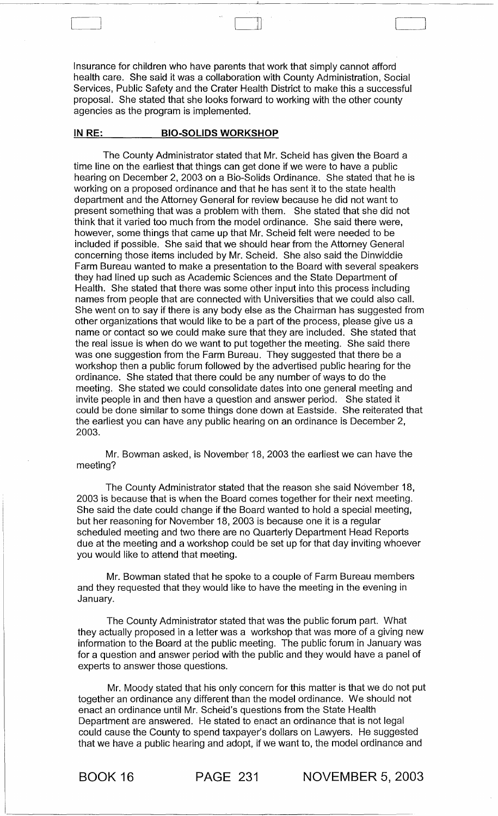Insurance for children who have parents that work that simply cannot afford health care. She said it was a collaboration with County Administration, Social Services, Public Safety and the Crater Health District to make this a successful proposal. She stated that she looks forward to working with the other county agencies as the program is implemented.

#### IN RE: BIO-SOLIDS WORKSHOP

The County Administrator stated that Mr. Scheid has given the Board a time line on the earliest that things can get done if we were to have a public hearing on December 2, 2003 on a Bio-Solids Ordinance. She stated that he is working on a proposed ordinance and that he has sent it to the state health department and the Attorney General for review because he did not want to present something that was a problem with them. She stated that she did not think that it varied too much from the model ordinance. She said there were, however, some things that came up that Mr. Scheid felt were needed to be included if possible. She said that we should hear from the Attorney General concerning those items included by Mr. Scheid. She also said the Dinwiddie Farm Bureau wanted to make a presentation to the Board with several speakers they had lined up such as Academic Sciences and the State Department of Health. She stated that there was some other input into this process including names from people that are connected with Universities that we could also call. She went on to say if there is any body else as the Chairman has suggested from other organizations that would like to be a part of the process, please give us a name or contact so we could make sure that they are included. She stated that the real issue is when do we want to put together the meeting. She said there was one suggestion from the Farm Bureau. They suggested that there be a workshop then a public forum followed by the advertised public hearing for the ordinance. She stated that there could be any number of ways to do the meeting. She stated we could consolidate dates into one general meeting and invite people in and then have a question and answer period. She stated it could be done similar to some things done down at Eastside. She reiterated that the earliest you can have any public hearing on an ordinance is December 2, 2003.

Mr. Bowman asked, is November 18, 2003 the earliest we can have the meeting?

The County Administrator stated that the reason she said November 18, 2003 is because that is when the Board comes together for their next meeting. She said the date could change if the Board wanted to hold a special meeting, but her reasoning for November 18, 2003 is because one it is a regular scheduled meeting and two there are no Quarterly Department Head Reports due at the meeting and a workshop could be set up for that day inviting whoever you would like to attend that meeting.

Mr. Bowman stated that he spoke to a couple of Farm Bureau members and they requested that they would like to have the meeting in the evening in January.

The County Administrator stated that was the public forum part. What they actually proposed in a letter was a workshop that was more of a giving new information to the Board at the public meeting. The public forum in January was for a question and answer period with the public and they would have a panel of experts to answer those questions.

Mr. Moody stated that his only concern for this matter is that we do not put together an ordinance any different than the model ordinance. We should not enact an ordinance until Mr. Scheid's questions from the State Health Department are answered. He stated to enact an ordinance that is not legal could cause the County to spend taxpayer's dollars on Lawyers. He suggested that we have a public hearing and adopt, if we want to, the model ordinance and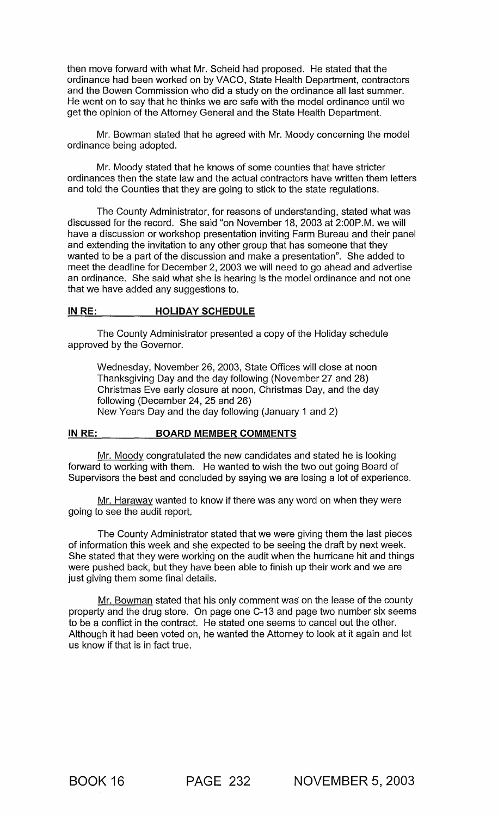then move forward with what Mr. Scheid had proposed. He stated that the ordinance had been worked on by VACO, State Health Department, contractors and the Bowen Commission who did a study on the ordinance all last summer. He went on to say that he thinks we are safe with the model ordinance until we get the opinion of the Attorney General and the State Health Department.

Mr. Bowman stated that he agreed with Mr. Moody concerning the model ordinance being adopted.

Mr. Moody stated that he knows of some counties that have stricter ordinances then the state law and the actual contractors have written them letters and told the Counties that they are going to stick to the state regulations.

The County Administrator, for reasons of understanding, stated what was discussed for the record. She said "on November 18, 2003 at 2:00P.M. we will have a discussion or workshop presentation inviting Farm Bureau and their panel and extending the invitation to any other group that has someone that they wanted to be a part of the discussion and make a presentation". She added to meet the deadline for December 2, 2003 we will need to go ahead and advertise an ordinance. She said what she is hearing is the model ordinance and not one that we have added any suggestions to.

#### **IN** RE: **HOLIDAY SCHEDULE**

The County Administrator presented a copy of the Holiday schedule approved by the Governor.

Wednesday, November 26, 2003, State Offices will close at noon Thanksgiving Day and the day following (November 27 and 28) Christmas Eve early closure at noon, Christmas Day, and the day following (December 24, 25 and 26) New Years Day and the day following (January 1 and 2)

#### **IN RE: BOARD MEMBER COMMENTS**

Mr. Moody congratulated the new candidates and stated he is looking forward to working with them. He wanted to wish the two out going Board of Supervisors the best and concluded by saying we are losing a lot of experience.

Mr. Haraway wanted to know if there was any word on when they were going to see the audit report.

The County Administrator stated that we were giving them the last pieces of information this week and she expected to be seeing the draft by next week. She stated that they were working on the audit when the hurricane hit and things were pushed back, but they have been able to finish up their work and we are just giving them some final details.

Mr. Bowman stated that his only comment was' on the lease of the county property and the drug store. On page one C-13 and page two number six seems to be a conflict in the contract. He stated one seems to cancel out the other. Although it had been voted on, he wanted the Attorney to look at it again and let us know if that is in fact true.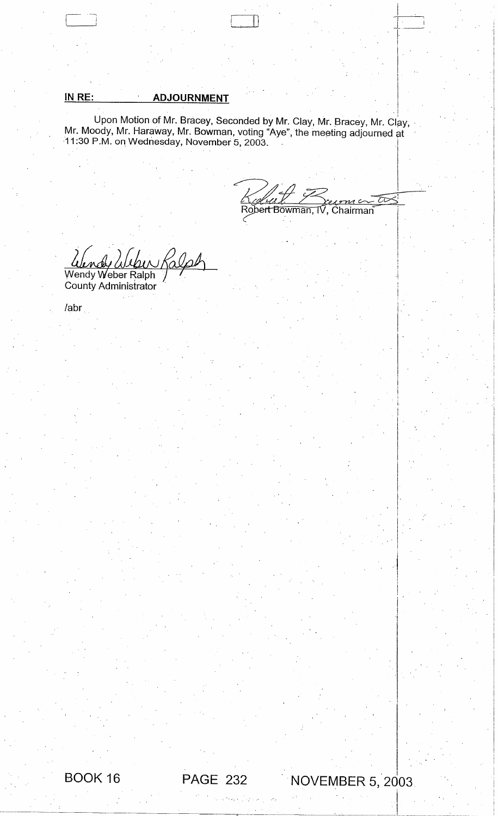IN RE: \_\_\_\_\_\_\_\_\_\_\_\_ADJOURNMENT<br>Upon Motion of Mr. Bracey, Seconded by Mr. Clay, Mr. Bracey, Mr. Clay, Mr. Moody, Mr. Haraway, Mr. Bowman, voting "Aye", the meeting adjourned at 11 :30 P.M. on Wednesday, November 5, 2003. I

 $\Box$  D  $\Box$   $\Box$   $\Box$ 

≅ Robert Bowman, TV , Chairman

 $\ddagger$  $\mathbf{I}$ I

 $\vert$ 

 $\parallel$ 

i.

 $\begin{bmatrix} \phantom{-} \\ \phantom{-} \end{bmatrix}$ 

!  $\vert \cdot \vert$   $\cdot$  I <sup>~</sup>i .  $\sim$ 

 $\vert$ 

 $\vert$  $\left| \cdot \right|$ Ii i  $1$  .  $\cdot$  $\mathbf{I}$  $\mathbf{I}$ I

-I !

 $\vert$  :

! I  $\overline{\phantom{a}}$ 

 $\frac{1}{\sqrt{2}}$ 

eper Ralph  $\it{\mathcal{L}}$ 

Wendy Weber Ralph County Administrator

labr



# I - <sup>I</sup> . **NOVEMBER 5, 2003**